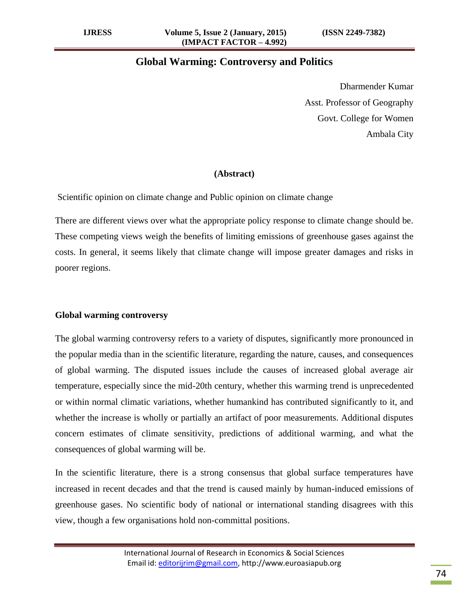# **Global Warming: Controversy and Politics**

Dharmender Kumar Asst. Professor of Geography Govt. College for Women Ambala City

# **(Abstract)**

Scientific opinion on climate change and Public opinion on climate change

There are different views over what the appropriate policy response to climate change should be. These competing views weigh the benefits of limiting emissions of greenhouse gases against the costs. In general, it seems likely that climate change will impose greater damages and risks in poorer regions.

## **Global warming controversy**

The global warming controversy refers to a variety of disputes, significantly more pronounced in the popular media than in the scientific literature, regarding the nature, causes, and consequences of global warming. The disputed issues include the causes of increased global average air temperature, especially since the mid-20th century, whether this warming trend is unprecedented or within normal climatic variations, whether humankind has contributed significantly to it, and whether the increase is wholly or partially an artifact of poor measurements. Additional disputes concern estimates of climate sensitivity, predictions of additional warming, and what the consequences of global warming will be.

In the scientific literature, there is a strong consensus that global surface temperatures have increased in recent decades and that the trend is caused mainly by human-induced emissions of greenhouse gases. No scientific body of national or international standing disagrees with this view, though a few organisations hold non-committal positions.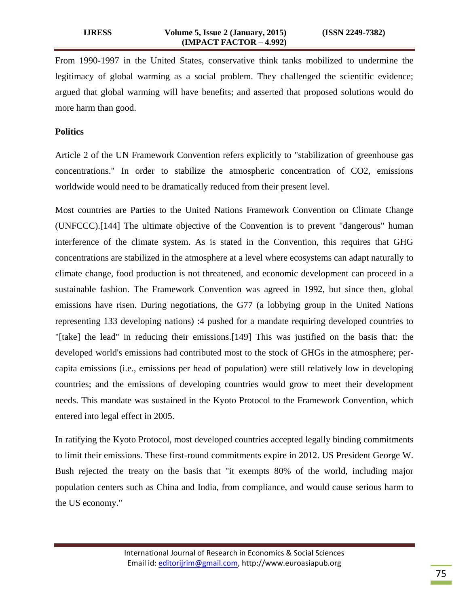From 1990-1997 in the United States, conservative think tanks mobilized to undermine the legitimacy of global warming as a social problem. They challenged the scientific evidence; argued that global warming will have benefits; and asserted that proposed solutions would do more harm than good.

# **Politics**

Article 2 of the UN Framework Convention refers explicitly to "stabilization of greenhouse gas concentrations." In order to stabilize the atmospheric concentration of CO2, emissions worldwide would need to be dramatically reduced from their present level.

Most countries are Parties to the United Nations Framework Convention on Climate Change (UNFCCC).[144] The ultimate objective of the Convention is to prevent "dangerous" human interference of the climate system. As is stated in the Convention, this requires that GHG concentrations are stabilized in the atmosphere at a level where ecosystems can adapt naturally to climate change, food production is not threatened, and economic development can proceed in a sustainable fashion. The Framework Convention was agreed in 1992, but since then, global emissions have risen. During negotiations, the G77 (a lobbying group in the United Nations representing 133 developing nations) :4 pushed for a mandate requiring developed countries to "[take] the lead" in reducing their emissions.[149] This was justified on the basis that: the developed world's emissions had contributed most to the stock of GHGs in the atmosphere; percapita emissions (i.e., emissions per head of population) were still relatively low in developing countries; and the emissions of developing countries would grow to meet their development needs. This mandate was sustained in the Kyoto Protocol to the Framework Convention, which entered into legal effect in 2005.

In ratifying the Kyoto Protocol, most developed countries accepted legally binding commitments to limit their emissions. These first-round commitments expire in 2012. US President George W. Bush rejected the treaty on the basis that "it exempts 80% of the world, including major population centers such as China and India, from compliance, and would cause serious harm to the US economy."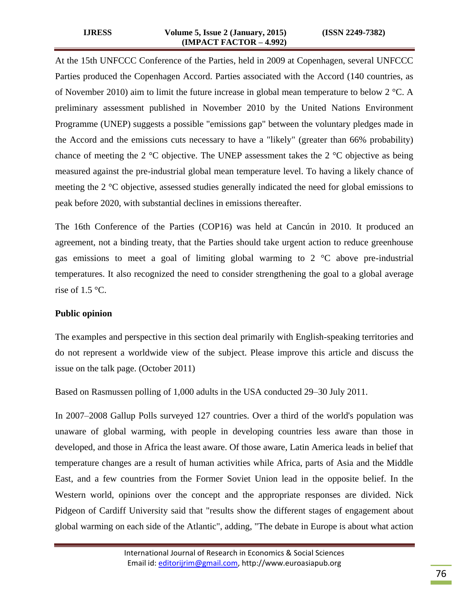#### **IJRESS Volume 5, Issue 2 (January, 2015) (ISSN 2249-7382) (IMPACT FACTOR – 4.992)**

At the 15th UNFCCC Conference of the Parties, held in 2009 at Copenhagen, several UNFCCC Parties produced the Copenhagen Accord. Parties associated with the Accord (140 countries, as of November 2010) aim to limit the future increase in global mean temperature to below 2 °C. A preliminary assessment published in November 2010 by the United Nations Environment Programme (UNEP) suggests a possible "emissions gap" between the voluntary pledges made in the Accord and the emissions cuts necessary to have a "likely" (greater than 66% probability) chance of meeting the 2  $\degree$ C objective. The UNEP assessment takes the 2  $\degree$ C objective as being measured against the pre-industrial global mean temperature level. To having a likely chance of meeting the 2 °C objective, assessed studies generally indicated the need for global emissions to peak before 2020, with substantial declines in emissions thereafter.

The 16th Conference of the Parties (COP16) was held at Cancún in 2010. It produced an agreement, not a binding treaty, that the Parties should take urgent action to reduce greenhouse gas emissions to meet a goal of limiting global warming to 2 °C above pre-industrial temperatures. It also recognized the need to consider strengthening the goal to a global average rise of  $1.5$  °C.

## **Public opinion**

The examples and perspective in this section deal primarily with English-speaking territories and do not represent a worldwide view of the subject. Please improve this article and discuss the issue on the talk page. (October 2011)

Based on Rasmussen polling of 1,000 adults in the USA conducted 29–30 July 2011.

In 2007–2008 Gallup Polls surveyed 127 countries. Over a third of the world's population was unaware of global warming, with people in developing countries less aware than those in developed, and those in Africa the least aware. Of those aware, Latin America leads in belief that temperature changes are a result of human activities while Africa, parts of Asia and the Middle East, and a few countries from the Former Soviet Union lead in the opposite belief. In the Western world, opinions over the concept and the appropriate responses are divided. Nick Pidgeon of Cardiff University said that "results show the different stages of engagement about global warming on each side of the Atlantic", adding, "The debate in Europe is about what action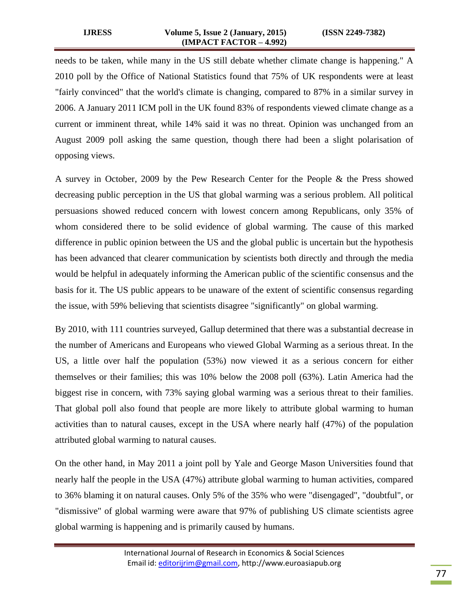needs to be taken, while many in the US still debate whether climate change is happening." A 2010 poll by the Office of National Statistics found that 75% of UK respondents were at least "fairly convinced" that the world's climate is changing, compared to 87% in a similar survey in 2006. A January 2011 ICM poll in the UK found 83% of respondents viewed climate change as a current or imminent threat, while 14% said it was no threat. Opinion was unchanged from an August 2009 poll asking the same question, though there had been a slight polarisation of opposing views.

A survey in October, 2009 by the Pew Research Center for the People & the Press showed decreasing public perception in the US that global warming was a serious problem. All political persuasions showed reduced concern with lowest concern among Republicans, only 35% of whom considered there to be solid evidence of global warming. The cause of this marked difference in public opinion between the US and the global public is uncertain but the hypothesis has been advanced that clearer communication by scientists both directly and through the media would be helpful in adequately informing the American public of the scientific consensus and the basis for it. The US public appears to be unaware of the extent of scientific consensus regarding the issue, with 59% believing that scientists disagree "significantly" on global warming.

By 2010, with 111 countries surveyed, Gallup determined that there was a substantial decrease in the number of Americans and Europeans who viewed Global Warming as a serious threat. In the US, a little over half the population (53%) now viewed it as a serious concern for either themselves or their families; this was 10% below the 2008 poll (63%). Latin America had the biggest rise in concern, with 73% saying global warming was a serious threat to their families. That global poll also found that people are more likely to attribute global warming to human activities than to natural causes, except in the USA where nearly half (47%) of the population attributed global warming to natural causes.

On the other hand, in May 2011 a joint poll by Yale and George Mason Universities found that nearly half the people in the USA (47%) attribute global warming to human activities, compared to 36% blaming it on natural causes. Only 5% of the 35% who were "disengaged", "doubtful", or "dismissive" of global warming were aware that 97% of publishing US climate scientists agree global warming is happening and is primarily caused by humans.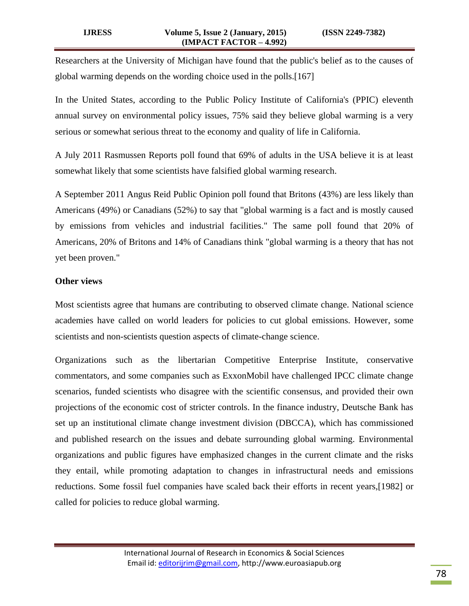Researchers at the University of Michigan have found that the public's belief as to the causes of global warming depends on the wording choice used in the polls.[167]

In the United States, according to the Public Policy Institute of California's (PPIC) eleventh annual survey on environmental policy issues, 75% said they believe global warming is a very serious or somewhat serious threat to the economy and quality of life in California.

A July 2011 Rasmussen Reports poll found that 69% of adults in the USA believe it is at least somewhat likely that some scientists have falsified global warming research.

A September 2011 Angus Reid Public Opinion poll found that Britons (43%) are less likely than Americans (49%) or Canadians (52%) to say that "global warming is a fact and is mostly caused by emissions from vehicles and industrial facilities." The same poll found that 20% of Americans, 20% of Britons and 14% of Canadians think "global warming is a theory that has not yet been proven."

## **Other views**

Most scientists agree that humans are contributing to observed climate change. National science academies have called on world leaders for policies to cut global emissions. However, some scientists and non-scientists question aspects of climate-change science.

Organizations such as the libertarian Competitive Enterprise Institute, conservative commentators, and some companies such as ExxonMobil have challenged IPCC climate change scenarios, funded scientists who disagree with the scientific consensus, and provided their own projections of the economic cost of stricter controls. In the finance industry, Deutsche Bank has set up an institutional climate change investment division (DBCCA), which has commissioned and published research on the issues and debate surrounding global warming. Environmental organizations and public figures have emphasized changes in the current climate and the risks they entail, while promoting adaptation to changes in infrastructural needs and emissions reductions. Some fossil fuel companies have scaled back their efforts in recent years,[1982] or called for policies to reduce global warming.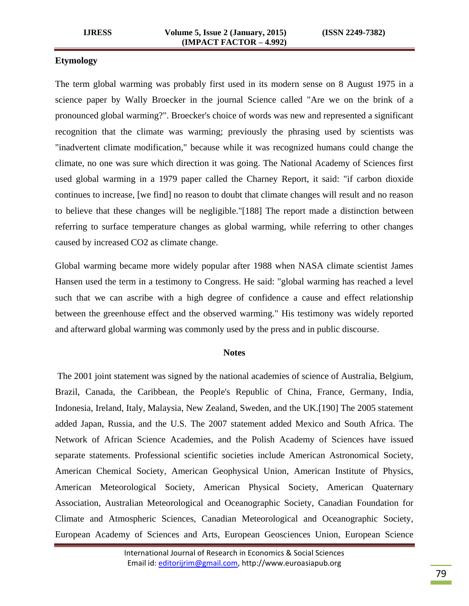# **Etymology**

The term global warming was probably first used in its modern sense on 8 August 1975 in a science paper by Wally Broecker in the journal Science called "Are we on the brink of a pronounced global warming?". Broecker's choice of words was new and represented a significant recognition that the climate was warming; previously the phrasing used by scientists was "inadvertent climate modification," because while it was recognized humans could change the climate, no one was sure which direction it was going. The National Academy of Sciences first used global warming in a 1979 paper called the Charney Report, it said: "if carbon dioxide continues to increase, [we find] no reason to doubt that climate changes will result and no reason to believe that these changes will be negligible."[188] The report made a distinction between referring to surface temperature changes as global warming, while referring to other changes caused by increased CO2 as climate change.

Global warming became more widely popular after 1988 when NASA climate scientist James Hansen used the term in a testimony to Congress. He said: "global warming has reached a level such that we can ascribe with a high degree of confidence a cause and effect relationship between the greenhouse effect and the observed warming." His testimony was widely reported and afterward global warming was commonly used by the press and in public discourse.

## **Notes**

The 2001 joint statement was signed by the national academies of science of Australia, Belgium, Brazil, Canada, the Caribbean, the People's Republic of China, France, Germany, India, Indonesia, Ireland, Italy, Malaysia, New Zealand, Sweden, and the UK.[190] The 2005 statement added Japan, Russia, and the U.S. The 2007 statement added Mexico and South Africa. The Network of African Science Academies, and the Polish Academy of Sciences have issued separate statements. Professional scientific societies include American Astronomical Society, American Chemical Society, American Geophysical Union, American Institute of Physics, American Meteorological Society, American Physical Society, American Quaternary Association, Australian Meteorological and Oceanographic Society, Canadian Foundation for Climate and Atmospheric Sciences, Canadian Meteorological and Oceanographic Society, European Academy of Sciences and Arts, European Geosciences Union, European Science